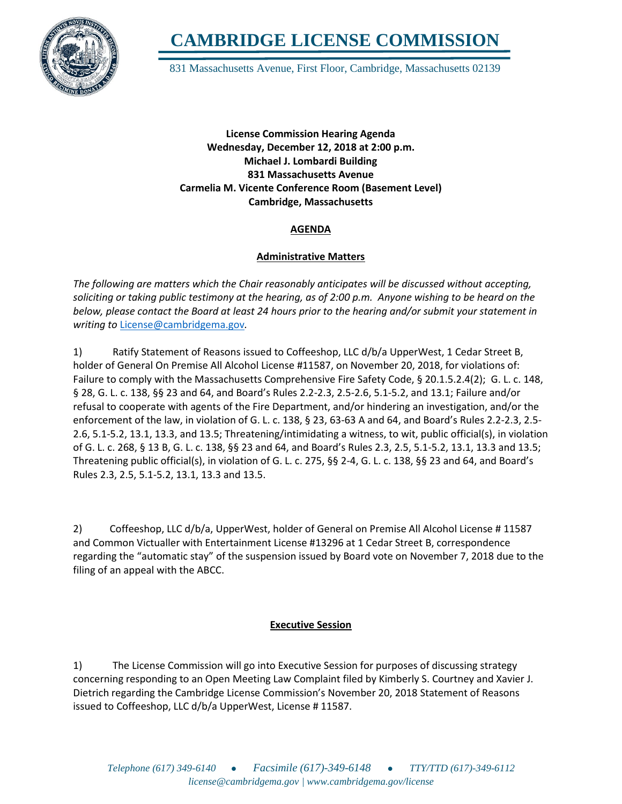

**CAMBRIDGE LICENSE COMMISSION**

831 Massachusetts Avenue, First Floor, Cambridge, Massachusetts 02139

**License Commission Hearing Agenda Wednesday, December 12, 2018 at 2:00 p.m. Michael J. Lombardi Building 831 Massachusetts Avenue Carmelia M. Vicente Conference Room (Basement Level) Cambridge, Massachusetts**

# **AGENDA**

### **Administrative Matters**

*The following are matters which the Chair reasonably anticipates will be discussed without accepting, soliciting or taking public testimony at the hearing, as of 2:00 p.m. Anyone wishing to be heard on the below, please contact the Board at least 24 hours prior to the hearing and/or submit your statement in writing to* [License@cambridgema.gov](mailto:License@cambridgema.gov)*.* 

1) Ratify Statement of Reasons issued to Coffeeshop, LLC d/b/a UpperWest, 1 Cedar Street B, holder of General On Premise All Alcohol License #11587, on November 20, 2018, for violations of: Failure to comply with the Massachusetts Comprehensive Fire Safety Code, § 20.1.5.2.4(2); G. L. c. 148, § 28, G. L. c. 138, §§ 23 and 64, and Board's Rules 2.2-2.3, 2.5-2.6, 5.1-5.2, and 13.1; Failure and/or refusal to cooperate with agents of the Fire Department, and/or hindering an investigation, and/or the enforcement of the law, in violation of G. L. c. 138, § 23, 63-63 A and 64, and Board's Rules 2.2-2.3, 2.5- 2.6, 5.1-5.2, 13.1, 13.3, and 13.5; Threatening/intimidating a witness, to wit, public official(s), in violation of G. L. c. 268, § 13 B, G. L. c. 138, §§ 23 and 64, and Board's Rules 2.3, 2.5, 5.1-5.2, 13.1, 13.3 and 13.5; Threatening public official(s), in violation of G. L. c. 275, §§ 2-4, G. L. c. 138, §§ 23 and 64, and Board's Rules 2.3, 2.5, 5.1-5.2, 13.1, 13.3 and 13.5.

2) Coffeeshop, LLC d/b/a, UpperWest, holder of General on Premise All Alcohol License # 11587 and Common Victualler with Entertainment License #13296 at 1 Cedar Street B, correspondence regarding the "automatic stay" of the suspension issued by Board vote on November 7, 2018 due to the filing of an appeal with the ABCC.

#### **Executive Session**

1) The License Commission will go into Executive Session for purposes of discussing strategy concerning responding to an Open Meeting Law Complaint filed by Kimberly S. Courtney and Xavier J. Dietrich regarding the Cambridge License Commission's November 20, 2018 Statement of Reasons issued to Coffeeshop, LLC d/b/a UpperWest, License # 11587.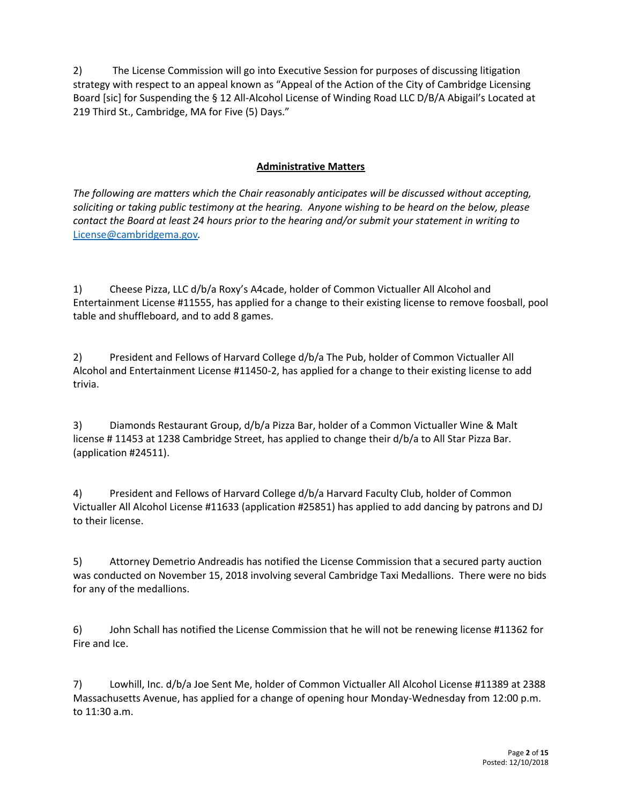2) The License Commission will go into Executive Session for purposes of discussing litigation strategy with respect to an appeal known as "Appeal of the Action of the City of Cambridge Licensing Board [sic] for Suspending the § 12 All-Alcohol License of Winding Road LLC D/B/A Abigail's Located at 219 Third St., Cambridge, MA for Five (5) Days."

# **Administrative Matters**

*The following are matters which the Chair reasonably anticipates will be discussed without accepting, soliciting or taking public testimony at the hearing. Anyone wishing to be heard on the below, please contact the Board at least 24 hours prior to the hearing and/or submit your statement in writing to*  [License@cambridgema.gov](mailto:License@cambridgema.gov)*.* 

1) Cheese Pizza, LLC d/b/a Roxy's A4cade, holder of Common Victualler All Alcohol and Entertainment License #11555, has applied for a change to their existing license to remove foosball, pool table and shuffleboard, and to add 8 games.

2) President and Fellows of Harvard College d/b/a The Pub, holder of Common Victualler All Alcohol and Entertainment License #11450-2, has applied for a change to their existing license to add trivia.

3) Diamonds Restaurant Group, d/b/a Pizza Bar, holder of a Common Victualler Wine & Malt license # 11453 at 1238 Cambridge Street, has applied to change their d/b/a to All Star Pizza Bar. (application #24511).

4) President and Fellows of Harvard College d/b/a Harvard Faculty Club, holder of Common Victualler All Alcohol License #11633 (application #25851) has applied to add dancing by patrons and DJ to their license.

5) Attorney Demetrio Andreadis has notified the License Commission that a secured party auction was conducted on November 15, 2018 involving several Cambridge Taxi Medallions. There were no bids for any of the medallions.

6) John Schall has notified the License Commission that he will not be renewing license #11362 for Fire and Ice.

7) Lowhill, Inc. d/b/a Joe Sent Me, holder of Common Victualler All Alcohol License #11389 at 2388 Massachusetts Avenue, has applied for a change of opening hour Monday-Wednesday from 12:00 p.m. to 11:30 a.m.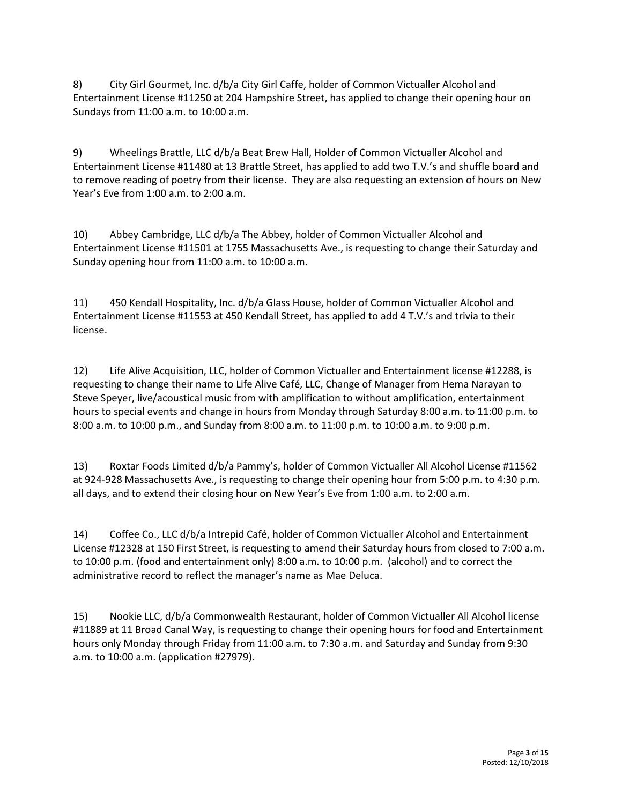8) City Girl Gourmet, Inc. d/b/a City Girl Caffe, holder of Common Victualler Alcohol and Entertainment License #11250 at 204 Hampshire Street, has applied to change their opening hour on Sundays from 11:00 a.m. to 10:00 a.m.

9) Wheelings Brattle, LLC d/b/a Beat Brew Hall, Holder of Common Victualler Alcohol and Entertainment License #11480 at 13 Brattle Street, has applied to add two T.V.'s and shuffle board and to remove reading of poetry from their license. They are also requesting an extension of hours on New Year's Eve from 1:00 a.m. to 2:00 a.m.

10) Abbey Cambridge, LLC d/b/a The Abbey, holder of Common Victualler Alcohol and Entertainment License #11501 at 1755 Massachusetts Ave., is requesting to change their Saturday and Sunday opening hour from 11:00 a.m. to 10:00 a.m.

11) 450 Kendall Hospitality, Inc. d/b/a Glass House, holder of Common Victualler Alcohol and Entertainment License #11553 at 450 Kendall Street, has applied to add 4 T.V.'s and trivia to their license.

12) Life Alive Acquisition, LLC, holder of Common Victualler and Entertainment license #12288, is requesting to change their name to Life Alive Café, LLC, Change of Manager from Hema Narayan to Steve Speyer, live/acoustical music from with amplification to without amplification, entertainment hours to special events and change in hours from Monday through Saturday 8:00 a.m. to 11:00 p.m. to 8:00 a.m. to 10:00 p.m., and Sunday from 8:00 a.m. to 11:00 p.m. to 10:00 a.m. to 9:00 p.m.

13) Roxtar Foods Limited d/b/a Pammy's, holder of Common Victualler All Alcohol License #11562 at 924-928 Massachusetts Ave., is requesting to change their opening hour from 5:00 p.m. to 4:30 p.m. all days, and to extend their closing hour on New Year's Eve from 1:00 a.m. to 2:00 a.m.

14) Coffee Co., LLC d/b/a Intrepid Café, holder of Common Victualler Alcohol and Entertainment License #12328 at 150 First Street, is requesting to amend their Saturday hours from closed to 7:00 a.m. to 10:00 p.m. (food and entertainment only) 8:00 a.m. to 10:00 p.m. (alcohol) and to correct the administrative record to reflect the manager's name as Mae Deluca.

15) Nookie LLC, d/b/a Commonwealth Restaurant, holder of Common Victualler All Alcohol license #11889 at 11 Broad Canal Way, is requesting to change their opening hours for food and Entertainment hours only Monday through Friday from 11:00 a.m. to 7:30 a.m. and Saturday and Sunday from 9:30 a.m. to 10:00 a.m. (application #27979).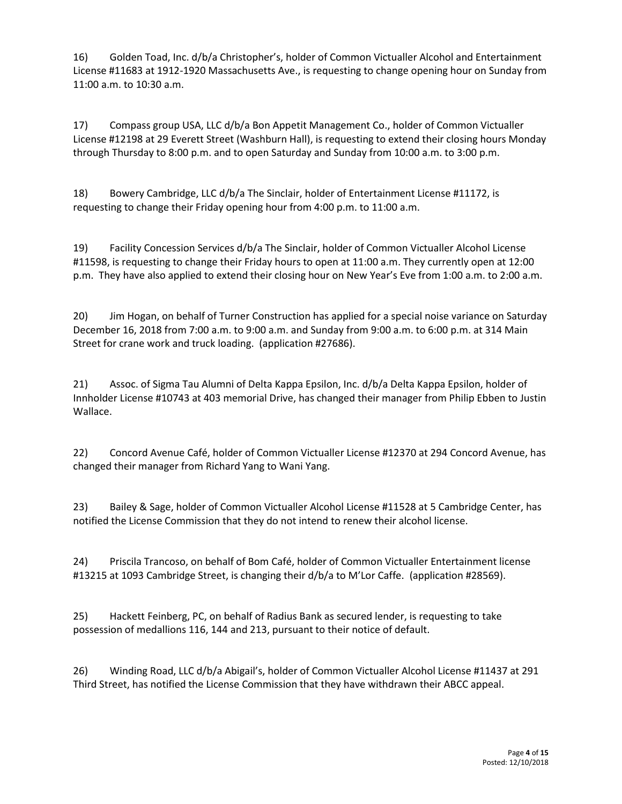16) Golden Toad, Inc. d/b/a Christopher's, holder of Common Victualler Alcohol and Entertainment License #11683 at 1912-1920 Massachusetts Ave., is requesting to change opening hour on Sunday from 11:00 a.m. to 10:30 a.m.

17) Compass group USA, LLC d/b/a Bon Appetit Management Co., holder of Common Victualler License #12198 at 29 Everett Street (Washburn Hall), is requesting to extend their closing hours Monday through Thursday to 8:00 p.m. and to open Saturday and Sunday from 10:00 a.m. to 3:00 p.m.

18) Bowery Cambridge, LLC d/b/a The Sinclair, holder of Entertainment License #11172, is requesting to change their Friday opening hour from 4:00 p.m. to 11:00 a.m.

19) Facility Concession Services d/b/a The Sinclair, holder of Common Victualler Alcohol License #11598, is requesting to change their Friday hours to open at 11:00 a.m. They currently open at 12:00 p.m. They have also applied to extend their closing hour on New Year's Eve from 1:00 a.m. to 2:00 a.m.

20) Jim Hogan, on behalf of Turner Construction has applied for a special noise variance on Saturday December 16, 2018 from 7:00 a.m. to 9:00 a.m. and Sunday from 9:00 a.m. to 6:00 p.m. at 314 Main Street for crane work and truck loading. (application #27686).

21) Assoc. of Sigma Tau Alumni of Delta Kappa Epsilon, Inc. d/b/a Delta Kappa Epsilon, holder of Innholder License #10743 at 403 memorial Drive, has changed their manager from Philip Ebben to Justin Wallace.

22) Concord Avenue Café, holder of Common Victualler License #12370 at 294 Concord Avenue, has changed their manager from Richard Yang to Wani Yang.

23) Bailey & Sage, holder of Common Victualler Alcohol License #11528 at 5 Cambridge Center, has notified the License Commission that they do not intend to renew their alcohol license.

24) Priscila Trancoso, on behalf of Bom Café, holder of Common Victualler Entertainment license #13215 at 1093 Cambridge Street, is changing their d/b/a to M'Lor Caffe. (application #28569).

25) Hackett Feinberg, PC, on behalf of Radius Bank as secured lender, is requesting to take possession of medallions 116, 144 and 213, pursuant to their notice of default.

26) Winding Road, LLC d/b/a Abigail's, holder of Common Victualler Alcohol License #11437 at 291 Third Street, has notified the License Commission that they have withdrawn their ABCC appeal.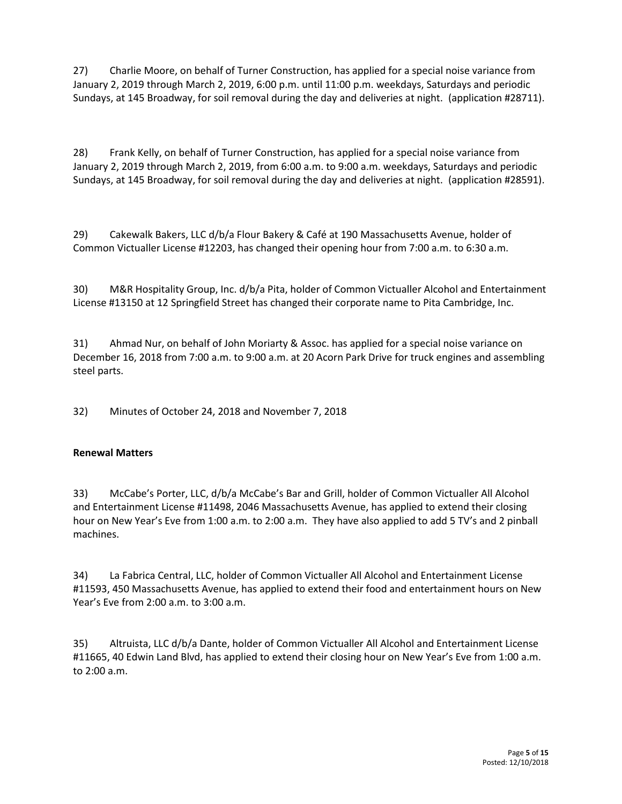27) Charlie Moore, on behalf of Turner Construction, has applied for a special noise variance from January 2, 2019 through March 2, 2019, 6:00 p.m. until 11:00 p.m. weekdays, Saturdays and periodic Sundays, at 145 Broadway, for soil removal during the day and deliveries at night. (application #28711).

28) Frank Kelly, on behalf of Turner Construction, has applied for a special noise variance from January 2, 2019 through March 2, 2019, from 6:00 a.m. to 9:00 a.m. weekdays, Saturdays and periodic Sundays, at 145 Broadway, for soil removal during the day and deliveries at night. (application #28591).

29) Cakewalk Bakers, LLC d/b/a Flour Bakery & Café at 190 Massachusetts Avenue, holder of Common Victualler License #12203, has changed their opening hour from 7:00 a.m. to 6:30 a.m.

30) M&R Hospitality Group, Inc. d/b/a Pita, holder of Common Victualler Alcohol and Entertainment License #13150 at 12 Springfield Street has changed their corporate name to Pita Cambridge, Inc.

31) Ahmad Nur, on behalf of John Moriarty & Assoc. has applied for a special noise variance on December 16, 2018 from 7:00 a.m. to 9:00 a.m. at 20 Acorn Park Drive for truck engines and assembling steel parts.

32) Minutes of October 24, 2018 and November 7, 2018

# **Renewal Matters**

33) McCabe's Porter, LLC, d/b/a McCabe's Bar and Grill, holder of Common Victualler All Alcohol and Entertainment License #11498, 2046 Massachusetts Avenue, has applied to extend their closing hour on New Year's Eve from 1:00 a.m. to 2:00 a.m. They have also applied to add 5 TV's and 2 pinball machines.

34) La Fabrica Central, LLC, holder of Common Victualler All Alcohol and Entertainment License #11593, 450 Massachusetts Avenue, has applied to extend their food and entertainment hours on New Year's Eve from 2:00 a.m. to 3:00 a.m.

35) Altruista, LLC d/b/a Dante, holder of Common Victualler All Alcohol and Entertainment License #11665, 40 Edwin Land Blvd, has applied to extend their closing hour on New Year's Eve from 1:00 a.m. to 2:00 a.m.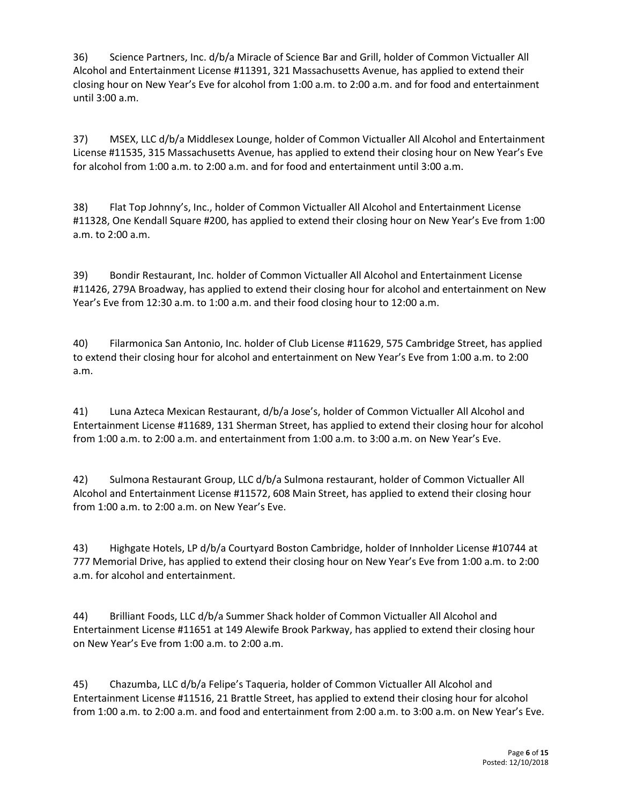36) Science Partners, Inc. d/b/a Miracle of Science Bar and Grill, holder of Common Victualler All Alcohol and Entertainment License #11391, 321 Massachusetts Avenue, has applied to extend their closing hour on New Year's Eve for alcohol from 1:00 a.m. to 2:00 a.m. and for food and entertainment until 3:00 a.m.

37) MSEX, LLC d/b/a Middlesex Lounge, holder of Common Victualler All Alcohol and Entertainment License #11535, 315 Massachusetts Avenue, has applied to extend their closing hour on New Year's Eve for alcohol from 1:00 a.m. to 2:00 a.m. and for food and entertainment until 3:00 a.m.

38) Flat Top Johnny's, Inc., holder of Common Victualler All Alcohol and Entertainment License #11328, One Kendall Square #200, has applied to extend their closing hour on New Year's Eve from 1:00 a.m. to 2:00 a.m.

39) Bondir Restaurant, Inc. holder of Common Victualler All Alcohol and Entertainment License #11426, 279A Broadway, has applied to extend their closing hour for alcohol and entertainment on New Year's Eve from 12:30 a.m. to 1:00 a.m. and their food closing hour to 12:00 a.m.

40) Filarmonica San Antonio, Inc. holder of Club License #11629, 575 Cambridge Street, has applied to extend their closing hour for alcohol and entertainment on New Year's Eve from 1:00 a.m. to 2:00 a.m.

41) Luna Azteca Mexican Restaurant, d/b/a Jose's, holder of Common Victualler All Alcohol and Entertainment License #11689, 131 Sherman Street, has applied to extend their closing hour for alcohol from 1:00 a.m. to 2:00 a.m. and entertainment from 1:00 a.m. to 3:00 a.m. on New Year's Eve.

42) Sulmona Restaurant Group, LLC d/b/a Sulmona restaurant, holder of Common Victualler All Alcohol and Entertainment License #11572, 608 Main Street, has applied to extend their closing hour from 1:00 a.m. to 2:00 a.m. on New Year's Eve.

43) Highgate Hotels, LP d/b/a Courtyard Boston Cambridge, holder of Innholder License #10744 at 777 Memorial Drive, has applied to extend their closing hour on New Year's Eve from 1:00 a.m. to 2:00 a.m. for alcohol and entertainment.

44) Brilliant Foods, LLC d/b/a Summer Shack holder of Common Victualler All Alcohol and Entertainment License #11651 at 149 Alewife Brook Parkway, has applied to extend their closing hour on New Year's Eve from 1:00 a.m. to 2:00 a.m.

45) Chazumba, LLC d/b/a Felipe's Taqueria, holder of Common Victualler All Alcohol and Entertainment License #11516, 21 Brattle Street, has applied to extend their closing hour for alcohol from 1:00 a.m. to 2:00 a.m. and food and entertainment from 2:00 a.m. to 3:00 a.m. on New Year's Eve.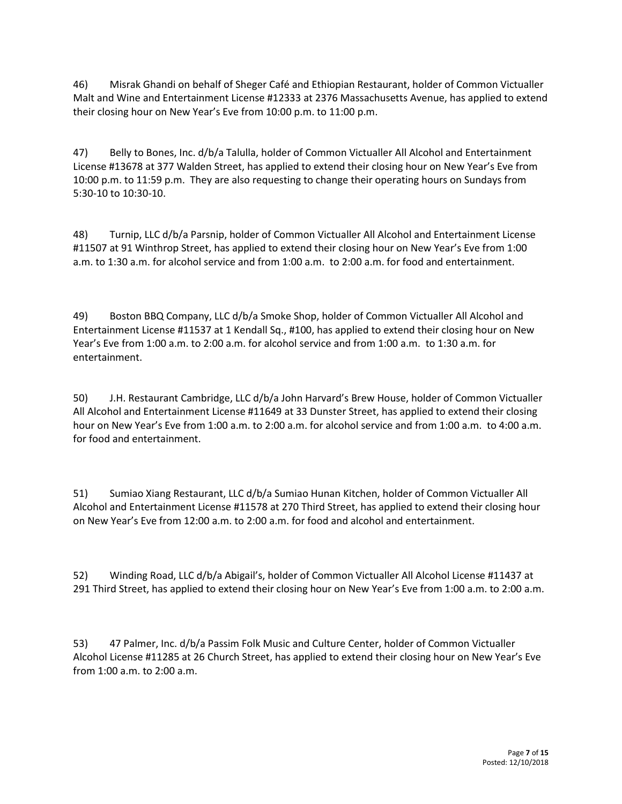46) Misrak Ghandi on behalf of Sheger Café and Ethiopian Restaurant, holder of Common Victualler Malt and Wine and Entertainment License #12333 at 2376 Massachusetts Avenue, has applied to extend their closing hour on New Year's Eve from 10:00 p.m. to 11:00 p.m.

47) Belly to Bones, Inc. d/b/a Talulla, holder of Common Victualler All Alcohol and Entertainment License #13678 at 377 Walden Street, has applied to extend their closing hour on New Year's Eve from 10:00 p.m. to 11:59 p.m. They are also requesting to change their operating hours on Sundays from 5:30-10 to 10:30-10.

48) Turnip, LLC d/b/a Parsnip, holder of Common Victualler All Alcohol and Entertainment License #11507 at 91 Winthrop Street, has applied to extend their closing hour on New Year's Eve from 1:00 a.m. to 1:30 a.m. for alcohol service and from 1:00 a.m. to 2:00 a.m. for food and entertainment.

49) Boston BBQ Company, LLC d/b/a Smoke Shop, holder of Common Victualler All Alcohol and Entertainment License #11537 at 1 Kendall Sq., #100, has applied to extend their closing hour on New Year's Eve from 1:00 a.m. to 2:00 a.m. for alcohol service and from 1:00 a.m. to 1:30 a.m. for entertainment.

50) J.H. Restaurant Cambridge, LLC d/b/a John Harvard's Brew House, holder of Common Victualler All Alcohol and Entertainment License #11649 at 33 Dunster Street, has applied to extend their closing hour on New Year's Eve from 1:00 a.m. to 2:00 a.m. for alcohol service and from 1:00 a.m. to 4:00 a.m. for food and entertainment.

51) Sumiao Xiang Restaurant, LLC d/b/a Sumiao Hunan Kitchen, holder of Common Victualler All Alcohol and Entertainment License #11578 at 270 Third Street, has applied to extend their closing hour on New Year's Eve from 12:00 a.m. to 2:00 a.m. for food and alcohol and entertainment.

52) Winding Road, LLC d/b/a Abigail's, holder of Common Victualler All Alcohol License #11437 at 291 Third Street, has applied to extend their closing hour on New Year's Eve from 1:00 a.m. to 2:00 a.m.

53) 47 Palmer, Inc. d/b/a Passim Folk Music and Culture Center, holder of Common Victualler Alcohol License #11285 at 26 Church Street, has applied to extend their closing hour on New Year's Eve from 1:00 a.m. to 2:00 a.m.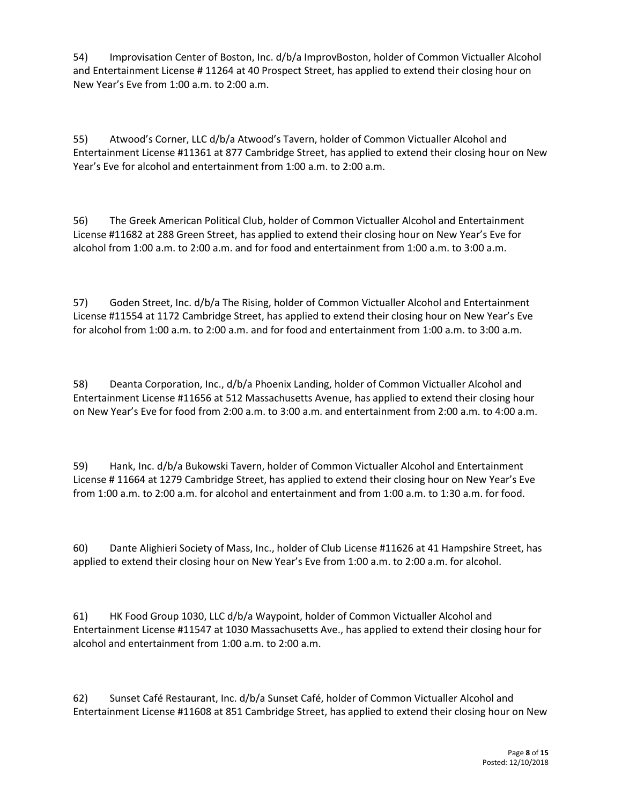54) Improvisation Center of Boston, Inc. d/b/a ImprovBoston, holder of Common Victualler Alcohol and Entertainment License # 11264 at 40 Prospect Street, has applied to extend their closing hour on New Year's Eve from 1:00 a.m. to 2:00 a.m.

55) Atwood's Corner, LLC d/b/a Atwood's Tavern, holder of Common Victualler Alcohol and Entertainment License #11361 at 877 Cambridge Street, has applied to extend their closing hour on New Year's Eve for alcohol and entertainment from 1:00 a.m. to 2:00 a.m.

56) The Greek American Political Club, holder of Common Victualler Alcohol and Entertainment License #11682 at 288 Green Street, has applied to extend their closing hour on New Year's Eve for alcohol from 1:00 a.m. to 2:00 a.m. and for food and entertainment from 1:00 a.m. to 3:00 a.m.

57) Goden Street, Inc. d/b/a The Rising, holder of Common Victualler Alcohol and Entertainment License #11554 at 1172 Cambridge Street, has applied to extend their closing hour on New Year's Eve for alcohol from 1:00 a.m. to 2:00 a.m. and for food and entertainment from 1:00 a.m. to 3:00 a.m.

58) Deanta Corporation, Inc., d/b/a Phoenix Landing, holder of Common Victualler Alcohol and Entertainment License #11656 at 512 Massachusetts Avenue, has applied to extend their closing hour on New Year's Eve for food from 2:00 a.m. to 3:00 a.m. and entertainment from 2:00 a.m. to 4:00 a.m.

59) Hank, Inc. d/b/a Bukowski Tavern, holder of Common Victualler Alcohol and Entertainment License # 11664 at 1279 Cambridge Street, has applied to extend their closing hour on New Year's Eve from 1:00 a.m. to 2:00 a.m. for alcohol and entertainment and from 1:00 a.m. to 1:30 a.m. for food.

60) Dante Alighieri Society of Mass, Inc., holder of Club License #11626 at 41 Hampshire Street, has applied to extend their closing hour on New Year's Eve from 1:00 a.m. to 2:00 a.m. for alcohol.

61) HK Food Group 1030, LLC d/b/a Waypoint, holder of Common Victualler Alcohol and Entertainment License #11547 at 1030 Massachusetts Ave., has applied to extend their closing hour for alcohol and entertainment from 1:00 a.m. to 2:00 a.m.

62) Sunset Café Restaurant, Inc. d/b/a Sunset Café, holder of Common Victualler Alcohol and Entertainment License #11608 at 851 Cambridge Street, has applied to extend their closing hour on New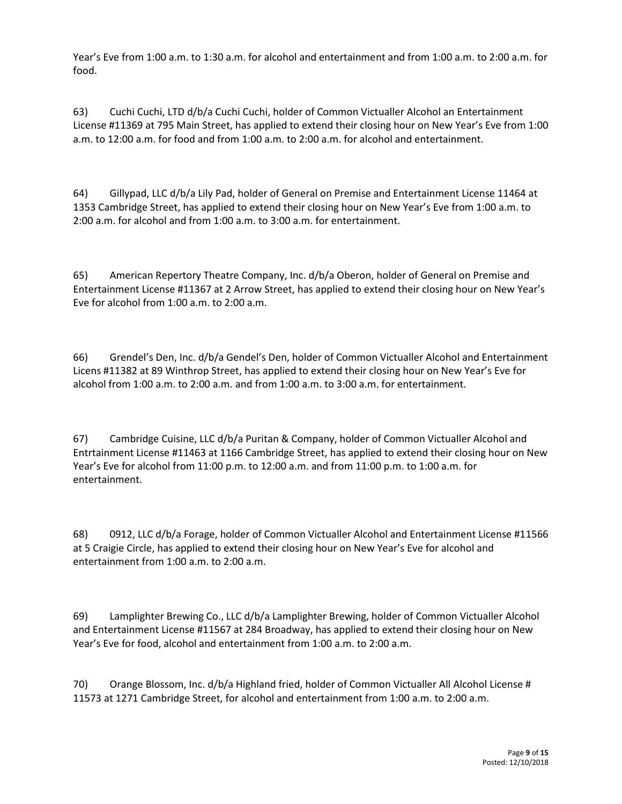Year's Eve from 1:00 a.m. to 1:30 a.m. for alcohol and entertainment and from 1:00 a.m. to 2:00 a.m. for food.

63) Cuchi Cuchi, LTD d/b/a Cuchi Cuchi, holder of Common Victualler Alcohol an Entertainment License #11369 at 795 Main Street, has applied to extend their closing hour on New Year's Eve from 1:00 a.m. to 12:00 a.m. for food and from 1:00 a.m. to 2:00 a.m. for alcohol and entertainment.

64) Gillypad, LLC d/b/a Lily Pad, holder of General on Premise and Entertainment License 11464 at 1353 Cambridge Street, has applied to extend their closing hour on New Year's Eve from 1:00 a.m. to 2:00 a.m. for alcohol and from 1:00 a.m. to 3:00 a.m. for entertainment.

65) American Repertory Theatre Company, Inc. d/b/a Oberon, holder of General on Premise and Entertainment License #11367 at 2 Arrow Street, has applied to extend their closing hour on New Year's Eve for alcohol from 1:00 a.m. to 2:00 a.m.

66) Grendel's Den, Inc. d/b/a Gendel's Den, holder of Common Victualler Alcohol and Entertainment Licens #11382 at 89 Winthrop Street, has applied to extend their closing hour on New Year's Eve for alcohol from 1:00 a.m. to 2:00 a.m. and from 1:00 a.m. to 3:00 a.m. for entertainment.

67) Cambridge Cuisine, LLC d/b/a Puritan & Company, holder of Common Victualler Alcohol and Entrtainment License #11463 at 1166 Cambridge Street, has applied to extend their closing hour on New Year's Eve for alcohol from 11:00 p.m. to 12:00 a.m. and from 11:00 p.m. to 1:00 a.m. for entertainment.

68) 0912, LLC d/b/a Forage, holder of Common Victualler Alcohol and Entertainment License #11566 at 5 Craigie Circle, has applied to extend their closing hour on New Year's Eve for alcohol and entertainment from 1:00 a.m. to 2:00 a.m.

69) Lamplighter Brewing Co., LLC d/b/a Lamplighter Brewing, holder of Common Victualler Alcohol and Entertainment License #11567 at 284 Broadway, has applied to extend their closing hour on New Year's Eve for food, alcohol and entertainment from 1:00 a.m. to 2:00 a.m.

70) Orange Blossom, Inc. d/b/a Highland fried, holder of Common Victualler All Alcohol License # 11573 at 1271 Cambridge Street, for alcohol and entertainment from 1:00 a.m. to 2:00 a.m.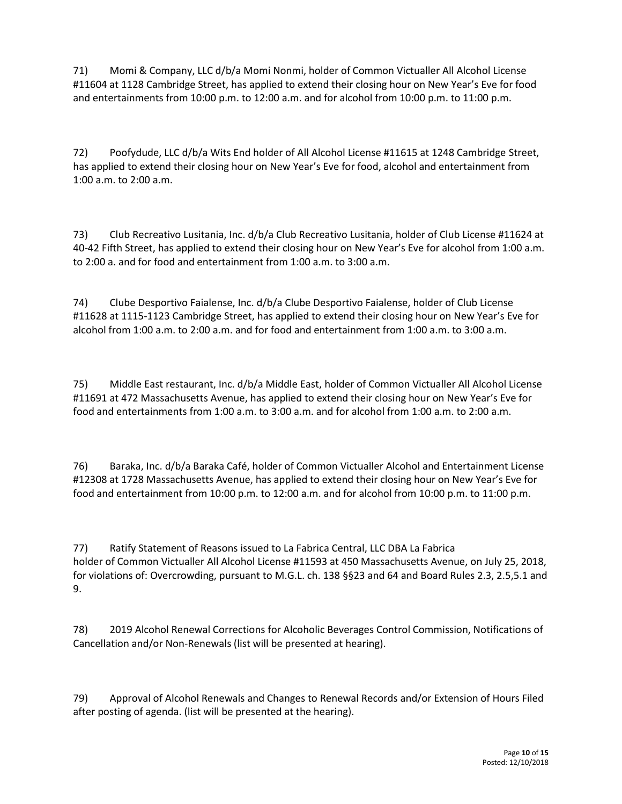71) Momi & Company, LLC d/b/a Momi Nonmi, holder of Common Victualler All Alcohol License #11604 at 1128 Cambridge Street, has applied to extend their closing hour on New Year's Eve for food and entertainments from 10:00 p.m. to 12:00 a.m. and for alcohol from 10:00 p.m. to 11:00 p.m.

72) Poofydude, LLC d/b/a Wits End holder of All Alcohol License #11615 at 1248 Cambridge Street, has applied to extend their closing hour on New Year's Eve for food, alcohol and entertainment from 1:00 a.m. to 2:00 a.m.

73) Club Recreativo Lusitania, Inc. d/b/a Club Recreativo Lusitania, holder of Club License #11624 at 40-42 Fifth Street, has applied to extend their closing hour on New Year's Eve for alcohol from 1:00 a.m. to 2:00 a. and for food and entertainment from 1:00 a.m. to 3:00 a.m.

74) Clube Desportivo Faialense, Inc. d/b/a Clube Desportivo Faialense, holder of Club License #11628 at 1115-1123 Cambridge Street, has applied to extend their closing hour on New Year's Eve for alcohol from 1:00 a.m. to 2:00 a.m. and for food and entertainment from 1:00 a.m. to 3:00 a.m.

75) Middle East restaurant, Inc. d/b/a Middle East, holder of Common Victualler All Alcohol License #11691 at 472 Massachusetts Avenue, has applied to extend their closing hour on New Year's Eve for food and entertainments from 1:00 a.m. to 3:00 a.m. and for alcohol from 1:00 a.m. to 2:00 a.m.

76) Baraka, Inc. d/b/a Baraka Café, holder of Common Victualler Alcohol and Entertainment License #12308 at 1728 Massachusetts Avenue, has applied to extend their closing hour on New Year's Eve for food and entertainment from 10:00 p.m. to 12:00 a.m. and for alcohol from 10:00 p.m. to 11:00 p.m.

77) Ratify Statement of Reasons issued to La Fabrica Central, LLC DBA La Fabrica holder of Common Victualler All Alcohol License #11593 at 450 Massachusetts Avenue, on July 25, 2018, for violations of: Overcrowding, pursuant to M.G.L. ch. 138 §§23 and 64 and Board Rules 2.3, 2.5,5.1 and 9.

78) 2019 Alcohol Renewal Corrections for Alcoholic Beverages Control Commission, Notifications of Cancellation and/or Non-Renewals (list will be presented at hearing).

79) Approval of Alcohol Renewals and Changes to Renewal Records and/or Extension of Hours Filed after posting of agenda. (list will be presented at the hearing).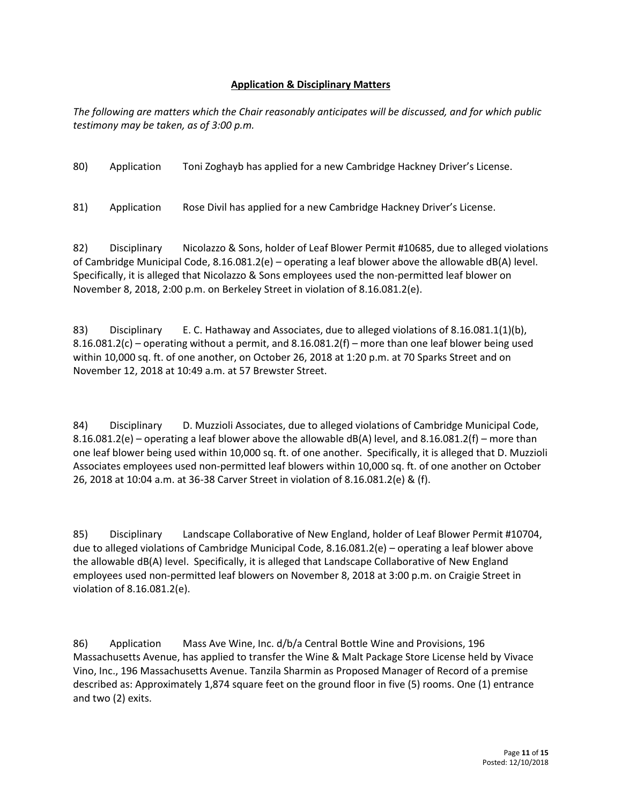### **Application & Disciplinary Matters**

*The following are matters which the Chair reasonably anticipates will be discussed, and for which public testimony may be taken, as of 3:00 p.m.*

| 80)  | Application | Toni Zoghayb has applied for a new Cambridge Hackney Driver's License. |
|------|-------------|------------------------------------------------------------------------|
| -81) | Application | Rose Divil has applied for a new Cambridge Hackney Driver's License.   |

82) Disciplinary Nicolazzo & Sons, holder of Leaf Blower Permit #10685, due to alleged violations of Cambridge Municipal Code, 8.16.081.2(e) – operating a leaf blower above the allowable dB(A) level. Specifically, it is alleged that Nicolazzo & Sons employees used the non-permitted leaf blower on November 8, 2018, 2:00 p.m. on Berkeley Street in violation of 8.16.081.2(e).

83) Disciplinary E. C. Hathaway and Associates, due to alleged violations of 8.16.081.1(1)(b), 8.16.081.2(c) – operating without a permit, and 8.16.081.2(f) – more than one leaf blower being used within 10,000 sq. ft. of one another, on October 26, 2018 at 1:20 p.m. at 70 Sparks Street and on November 12, 2018 at 10:49 a.m. at 57 Brewster Street.

84) Disciplinary D. Muzzioli Associates, due to alleged violations of Cambridge Municipal Code, 8.16.081.2(e) – operating a leaf blower above the allowable dB(A) level, and 8.16.081.2(f) – more than one leaf blower being used within 10,000 sq. ft. of one another. Specifically, it is alleged that D. Muzzioli Associates employees used non-permitted leaf blowers within 10,000 sq. ft. of one another on October 26, 2018 at 10:04 a.m. at 36-38 Carver Street in violation of 8.16.081.2(e) & (f).

85) Disciplinary Landscape Collaborative of New England, holder of Leaf Blower Permit #10704, due to alleged violations of Cambridge Municipal Code, 8.16.081.2(e) – operating a leaf blower above the allowable dB(A) level. Specifically, it is alleged that Landscape Collaborative of New England employees used non-permitted leaf blowers on November 8, 2018 at 3:00 p.m. on Craigie Street in violation of 8.16.081.2(e).

86) Application Mass Ave Wine, Inc. d/b/a Central Bottle Wine and Provisions, 196 Massachusetts Avenue, has applied to transfer the Wine & Malt Package Store License held by Vivace Vino, Inc., 196 Massachusetts Avenue. Tanzila Sharmin as Proposed Manager of Record of a premise described as: Approximately 1,874 square feet on the ground floor in five (5) rooms. One (1) entrance and two (2) exits.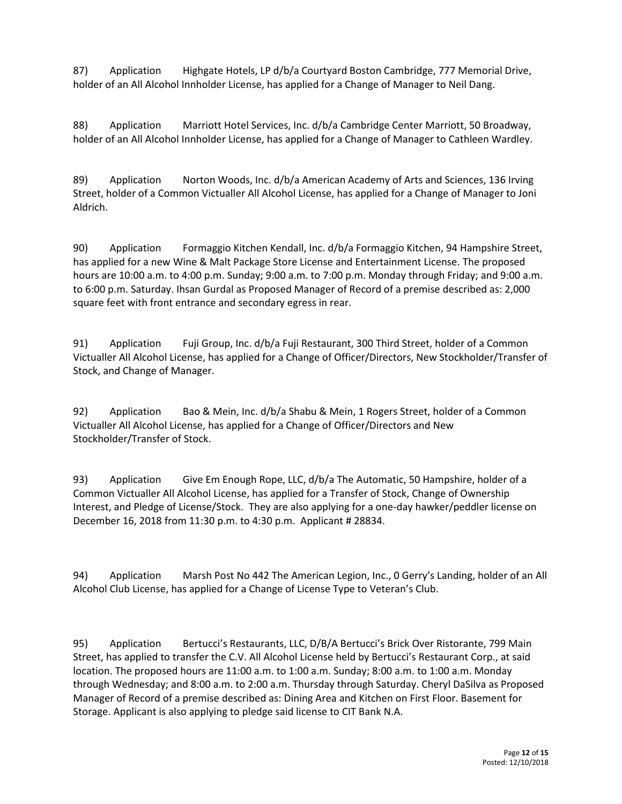87) Application Highgate Hotels, LP d/b/a Courtyard Boston Cambridge, 777 Memorial Drive, holder of an All Alcohol Innholder License, has applied for a Change of Manager to Neil Dang.

88) Application Marriott Hotel Services, Inc. d/b/a Cambridge Center Marriott, 50 Broadway, holder of an All Alcohol Innholder License, has applied for a Change of Manager to Cathleen Wardley.

89) Application Norton Woods, Inc. d/b/a American Academy of Arts and Sciences, 136 Irving Street, holder of a Common Victualler All Alcohol License, has applied for a Change of Manager to Joni Aldrich.

90) Application Formaggio Kitchen Kendall, Inc. d/b/a Formaggio Kitchen, 94 Hampshire Street, has applied for a new Wine & Malt Package Store License and Entertainment License. The proposed hours are 10:00 a.m. to 4:00 p.m. Sunday; 9:00 a.m. to 7:00 p.m. Monday through Friday; and 9:00 a.m. to 6:00 p.m. Saturday. Ihsan Gurdal as Proposed Manager of Record of a premise described as: 2,000 square feet with front entrance and secondary egress in rear.

91) Application Fuji Group, Inc. d/b/a Fuji Restaurant, 300 Third Street, holder of a Common Victualler All Alcohol License, has applied for a Change of Officer/Directors, New Stockholder/Transfer of Stock, and Change of Manager.

92) Application Bao & Mein, Inc. d/b/a Shabu & Mein, 1 Rogers Street, holder of a Common Victualler All Alcohol License, has applied for a Change of Officer/Directors and New Stockholder/Transfer of Stock.

93) Application Give Em Enough Rope, LLC, d/b/a The Automatic, 50 Hampshire, holder of a Common Victualler All Alcohol License, has applied for a Transfer of Stock, Change of Ownership Interest, and Pledge of License/Stock. They are also applying for a one-day hawker/peddler license on December 16, 2018 from 11:30 p.m. to 4:30 p.m. Applicant # 28834.

94) Application Marsh Post No 442 The American Legion, Inc., 0 Gerry's Landing, holder of an All Alcohol Club License, has applied for a Change of License Type to Veteran's Club.

95) Application Bertucci's Restaurants, LLC, D/B/A Bertucci's Brick Over Ristorante, 799 Main Street, has applied to transfer the C.V. All Alcohol License held by Bertucci's Restaurant Corp., at said location. The proposed hours are 11:00 a.m. to 1:00 a.m. Sunday; 8:00 a.m. to 1:00 a.m. Monday through Wednesday; and 8:00 a.m. to 2:00 a.m. Thursday through Saturday. Cheryl DaSilva as Proposed Manager of Record of a premise described as: Dining Area and Kitchen on First Floor. Basement for Storage. Applicant is also applying to pledge said license to CIT Bank N.A.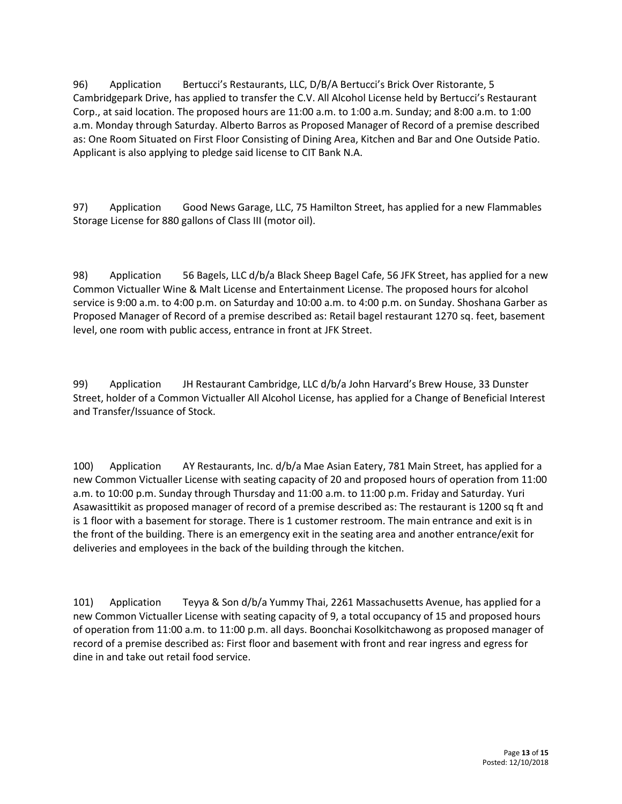96) Application Bertucci's Restaurants, LLC, D/B/A Bertucci's Brick Over Ristorante, 5 Cambridgepark Drive, has applied to transfer the C.V. All Alcohol License held by Bertucci's Restaurant Corp., at said location. The proposed hours are 11:00 a.m. to 1:00 a.m. Sunday; and 8:00 a.m. to 1:00 a.m. Monday through Saturday. Alberto Barros as Proposed Manager of Record of a premise described as: One Room Situated on First Floor Consisting of Dining Area, Kitchen and Bar and One Outside Patio. Applicant is also applying to pledge said license to CIT Bank N.A.

97) Application Good News Garage, LLC, 75 Hamilton Street, has applied for a new Flammables Storage License for 880 gallons of Class III (motor oil).

98) Application 56 Bagels, LLC d/b/a Black Sheep Bagel Cafe, 56 JFK Street, has applied for a new Common Victualler Wine & Malt License and Entertainment License. The proposed hours for alcohol service is 9:00 a.m. to 4:00 p.m. on Saturday and 10:00 a.m. to 4:00 p.m. on Sunday. Shoshana Garber as Proposed Manager of Record of a premise described as: Retail bagel restaurant 1270 sq. feet, basement level, one room with public access, entrance in front at JFK Street.

99) Application JH Restaurant Cambridge, LLC d/b/a John Harvard's Brew House, 33 Dunster Street, holder of a Common Victualler All Alcohol License, has applied for a Change of Beneficial Interest and Transfer/Issuance of Stock.

100) Application AY Restaurants, Inc. d/b/a Mae Asian Eatery, 781 Main Street, has applied for a new Common Victualler License with seating capacity of 20 and proposed hours of operation from 11:00 a.m. to 10:00 p.m. Sunday through Thursday and 11:00 a.m. to 11:00 p.m. Friday and Saturday. Yuri Asawasittikit as proposed manager of record of a premise described as: The restaurant is 1200 sq ft and is 1 floor with a basement for storage. There is 1 customer restroom. The main entrance and exit is in the front of the building. There is an emergency exit in the seating area and another entrance/exit for deliveries and employees in the back of the building through the kitchen.

101) Application Teyya & Son d/b/a Yummy Thai, 2261 Massachusetts Avenue, has applied for a new Common Victualler License with seating capacity of 9, a total occupancy of 15 and proposed hours of operation from 11:00 a.m. to 11:00 p.m. all days. Boonchai Kosolkitchawong as proposed manager of record of a premise described as: First floor and basement with front and rear ingress and egress for dine in and take out retail food service.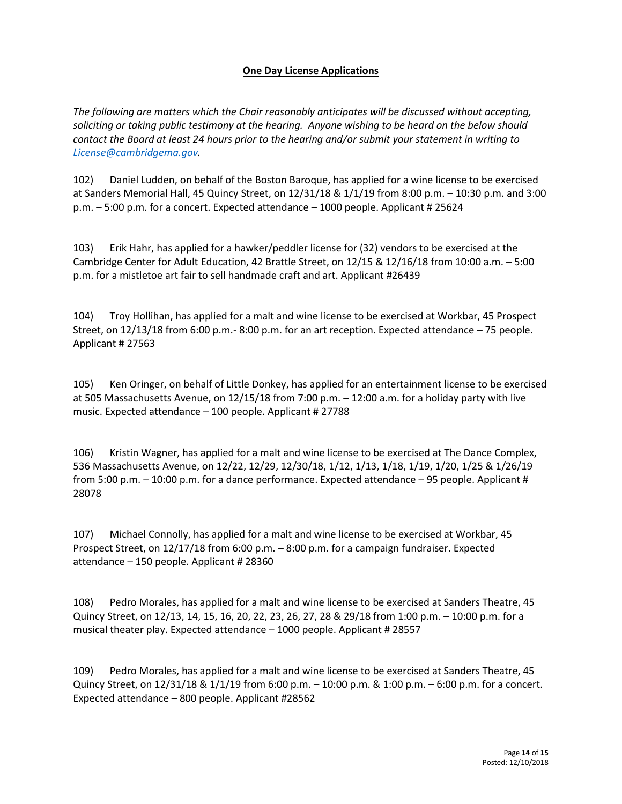#### **One Day License Applications**

*The following are matters which the Chair reasonably anticipates will be discussed without accepting, soliciting or taking public testimony at the hearing. Anyone wishing to be heard on the below should contact the Board at least 24 hours prior to the hearing and/or submit your statement in writing to [License@cambridgema.gov.](mailto:License@cambridgema.gov)*

102) Daniel Ludden, on behalf of the Boston Baroque, has applied for a wine license to be exercised at Sanders Memorial Hall, 45 Quincy Street, on 12/31/18 & 1/1/19 from 8:00 p.m. – 10:30 p.m. and 3:00 p.m. – 5:00 p.m. for a concert. Expected attendance – 1000 people. Applicant # 25624

103) Erik Hahr, has applied for a hawker/peddler license for (32) vendors to be exercised at the Cambridge Center for Adult Education, 42 Brattle Street, on 12/15 & 12/16/18 from 10:00 a.m. – 5:00 p.m. for a mistletoe art fair to sell handmade craft and art. Applicant #26439

104) Troy Hollihan, has applied for a malt and wine license to be exercised at Workbar, 45 Prospect Street, on 12/13/18 from 6:00 p.m.- 8:00 p.m. for an art reception. Expected attendance – 75 people. Applicant # 27563

105) Ken Oringer, on behalf of Little Donkey, has applied for an entertainment license to be exercised at 505 Massachusetts Avenue, on 12/15/18 from 7:00 p.m. – 12:00 a.m. for a holiday party with live music. Expected attendance – 100 people. Applicant # 27788

106) Kristin Wagner, has applied for a malt and wine license to be exercised at The Dance Complex, 536 Massachusetts Avenue, on 12/22, 12/29, 12/30/18, 1/12, 1/13, 1/18, 1/19, 1/20, 1/25 & 1/26/19 from 5:00 p.m. – 10:00 p.m. for a dance performance. Expected attendance – 95 people. Applicant # 28078

107) Michael Connolly, has applied for a malt and wine license to be exercised at Workbar, 45 Prospect Street, on 12/17/18 from 6:00 p.m. – 8:00 p.m. for a campaign fundraiser. Expected attendance – 150 people. Applicant # 28360

108) Pedro Morales, has applied for a malt and wine license to be exercised at Sanders Theatre, 45 Quincy Street, on 12/13, 14, 15, 16, 20, 22, 23, 26, 27, 28 & 29/18 from 1:00 p.m. – 10:00 p.m. for a musical theater play. Expected attendance – 1000 people. Applicant # 28557

109) Pedro Morales, has applied for a malt and wine license to be exercised at Sanders Theatre, 45 Quincy Street, on 12/31/18 & 1/1/19 from 6:00 p.m. – 10:00 p.m. & 1:00 p.m. – 6:00 p.m. for a concert. Expected attendance – 800 people. Applicant #28562